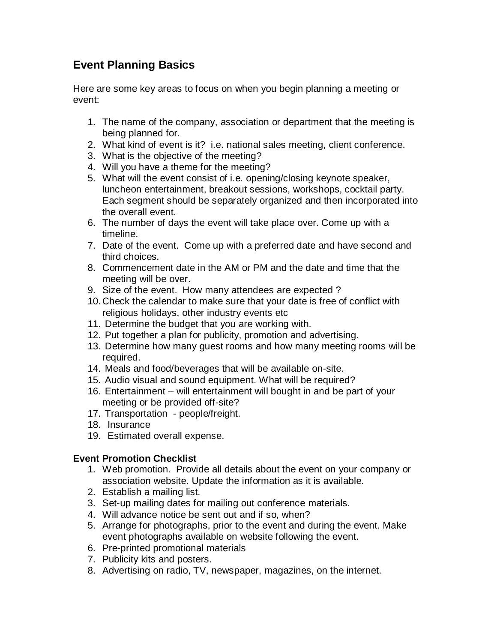# **Event Planning Basics**

Here are some key areas to focus on when you begin planning a meeting or event:

- 1. The name of the company, association or department that the meeting is being planned for.
- 2. What kind of event is it? i.e. national sales meeting, client conference.
- 3. What is the objective of the meeting?
- 4. Will you have a theme for the meeting?
- 5. What will the event consist of i.e. opening/closing keynote speaker, luncheon entertainment, breakout sessions, workshops, cocktail party. Each segment should be separately organized and then incorporated into the overall event.
- 6. The number of days the event will take place over. Come up with a timeline.
- 7. Date of the event. Come up with a preferred date and have second and third choices.
- 8. Commencement date in the AM or PM and the date and time that the meeting will be over.
- 9. Size of the event. How many attendees are expected ?
- 10. Check the calendar to make sure that your date is free of conflict with religious holidays, other industry events etc
- 11. Determine the budget that you are working with.
- 12. Put together a plan for publicity, promotion and advertising.
- 13. Determine how many guest rooms and how many meeting rooms will be required.
- 14. Meals and food/beverages that will be available on-site.
- 15. Audio visual and sound equipment. What will be required?
- 16. Entertainment will entertainment will bought in and be part of your meeting or be provided off-site?
- 17. Transportation people/freight.
- 18. Insurance
- 19. Estimated overall expense.

## **Event Promotion Checklist**

- 1. Web promotion. Provide all details about the event on your company or association website. Update the information as it is available.
- 2. Establish a mailing list.
- 3. Set-up mailing dates for mailing out conference materials.
- 4. Will advance notice be sent out and if so, when?
- 5. Arrange for photographs, prior to the event and during the event. Make event photographs available on website following the event.
- 6. Pre-printed promotional materials
- 7. Publicity kits and posters.
- 8. Advertising on radio, TV, newspaper, magazines, on the internet.